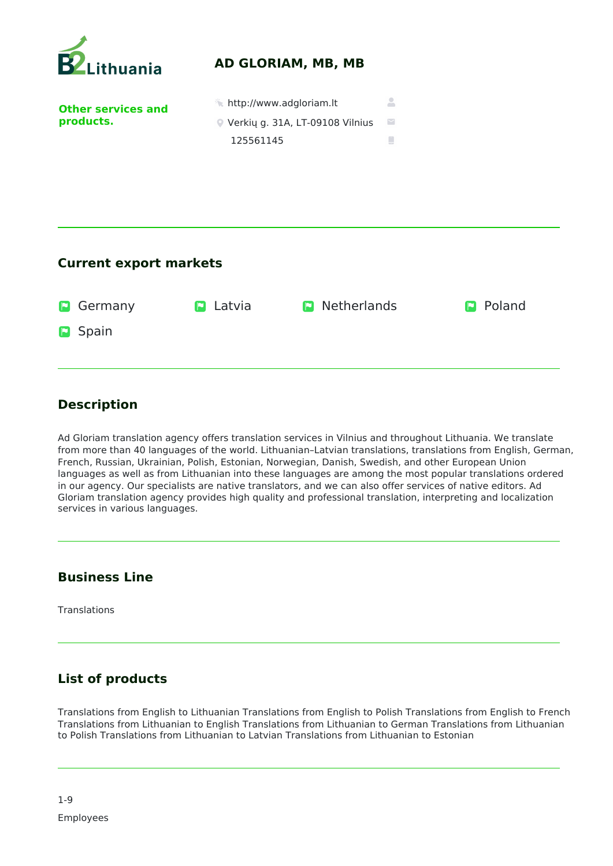

| <b>D</b> Germany | <b>D</b> Latvia | <b>D</b> Netherlands | <b>P</b> Poland |
|------------------|-----------------|----------------------|-----------------|
| <b>D</b> Spain   |                 |                      |                 |

## **Description**

Ad Gloriam translation agency offers translation services in Vilnius and throughout Lithuania. We translate from more than 40 languages of the world. Lithuanian–Latvian translations, translations from English, German, French, Russian, Ukrainian, Polish, Estonian, Norwegian, Danish, Swedish, and other European Union languages as well as from Lithuanian into these languages are among the most popular translations ordered in our agency. Our specialists are native translators, and we can also offer services of native editors. Ad Gloriam translation agency provides high quality and professional translation, interpreting and localization services in various languages.

## **Business Line**

Translations

## **List of products**

Translations from English to Lithuanian Translations from English to Polish Translations from English to French Translations from Lithuanian to English Translations from Lithuanian to German Translations from Lithuanian to Polish Translations from Lithuanian to Latvian Translations from Lithuanian to Estonian